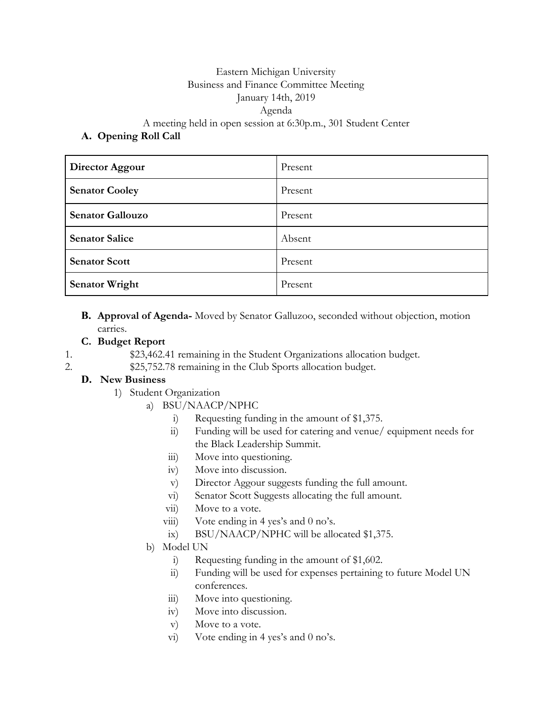## Eastern Michigan University Business and Finance Committee Meeting January 14th, 2019 Agenda

A meeting held in open session at 6:30p.m., 301 Student Center

## **A. Opening Roll Call**

| Director Aggour         | Present |
|-------------------------|---------|
| <b>Senator Cooley</b>   | Present |
| <b>Senator Gallouzo</b> | Present |
| <b>Senator Salice</b>   | Absent  |
| <b>Senator Scott</b>    | Present |
| <b>Senator Wright</b>   | Present |

**B. Approval of Agenda-** Moved by Senator Galluzoo, seconded without objection, motion carries.

## **C. Budget Report**

- 1. \$23,462.41 remaining in the Student Organizations allocation budget.
- 2. \$25,752.78 remaining in the Club Sports allocation budget.

## **D. New Business**

- 1) Student Organization
	- a) BSU/NAACP/NPHC
		- i) Requesting funding in the amount of \$1,375.
		- ii) Funding will be used for catering and venue/ equipment needs for the Black Leadership Summit.
		- iii) Move into questioning.
		- iv) Move into discussion.
		- v) Director Aggour suggests funding the full amount.
		- vi) Senator Scott Suggests allocating the full amount.
		- vii) Move to a vote.
		- viii) Vote ending in 4 yes's and  $0$  no's.
		- ix) BSU/NAACP/NPHC will be allocated \$1,375.
	- b) Model UN
		- i) Requesting funding in the amount of \$1,602.
		- ii) Funding will be used for expenses pertaining to future Model UN conferences.
		- iii) Move into questioning.
		- iv) Move into discussion.
		- v) Move to a vote.
		- vi) Vote ending in 4 yes's and 0 no's.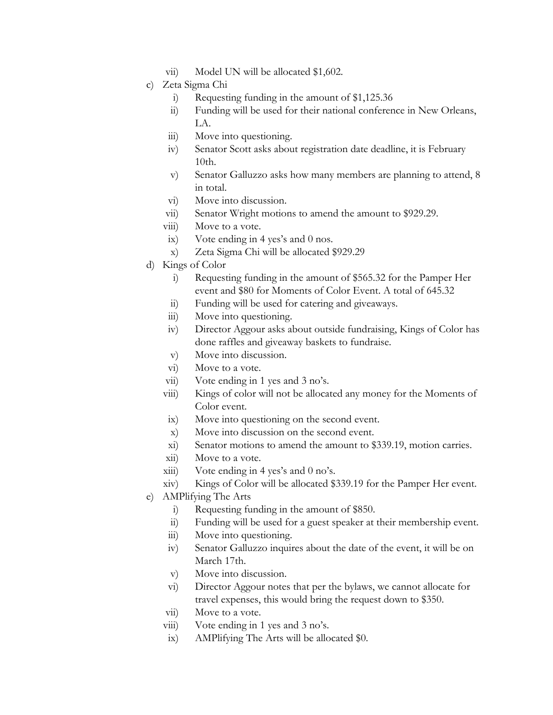- vii) Model UN will be allocated \$1,602.
- c) Zeta Sigma Chi
	- i) Requesting funding in the amount of \$1,125.36
	- ii) Funding will be used for their national conference in New Orleans, LA.
	- iii) Move into questioning.
	- iv) Senator Scott asks about registration date deadline, it is February 10th.
	- v) Senator Galluzzo asks how many members are planning to attend, 8 in total.
	- vi) Move into discussion.
	- vii) Senator Wright motions to amend the amount to \$929.29.
	- viii) Move to a vote.
	- ix) Vote ending in 4 yes's and 0 nos.
	- x) Zeta Sigma Chi will be allocated \$929.29
- d) Kings of Color
	- i) Requesting funding in the amount of \$565.32 for the Pamper Her event and \$80 for Moments of Color Event. A total of 645.32
	- ii) Funding will be used for catering and giveaways.
	- iii) Move into questioning.
	- iv) Director Aggour asks about outside fundraising, Kings of Color has done raffles and giveaway baskets to fundraise.
	- v) Move into discussion.
	- vi) Move to a vote.
	- vii) Vote ending in 1 yes and 3 no's.
	- viii) Kings of color will not be allocated any money for the Moments of Color event.
	- ix) Move into questioning on the second event.
	- x) Move into discussion on the second event.
	- xi) Senator motions to amend the amount to \$339.19, motion carries.
	- xii) Move to a vote.
	- $xiii)$  Vote ending in 4 yes's and 0 no's.
	- xiv) Kings of Color will be allocated \$339.19 for the Pamper Her event.
- e) AMPlifying The Arts
	- i) Requesting funding in the amount of \$850.
	- ii) Funding will be used for a guest speaker at their membership event.
	- iii) Move into questioning.
	- iv) Senator Galluzzo inquires about the date of the event, it will be on March 17th.
	- v) Move into discussion.
	- vi) Director Aggour notes that per the bylaws, we cannot allocate for travel expenses, this would bring the request down to \$350.
	- vii) Move to a vote.
	- viii) Vote ending in 1 yes and 3 no's.
	- ix) AMPlifying The Arts will be allocated \$0.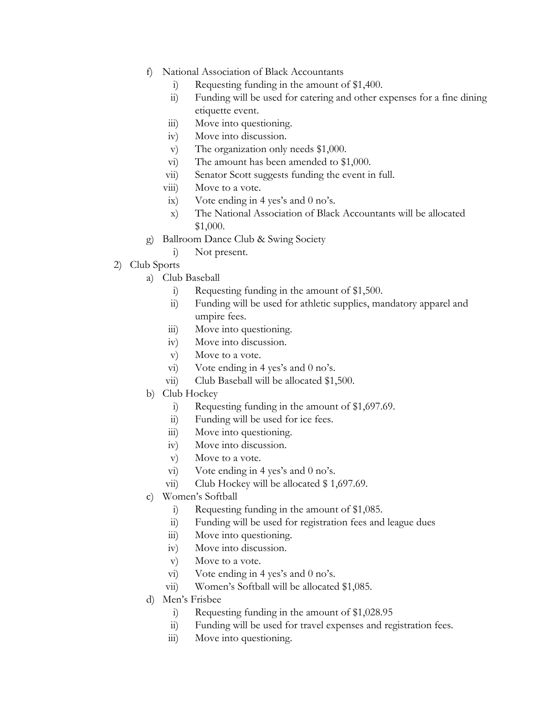- f) National Association of Black Accountants
	- i) Requesting funding in the amount of \$1,400.
	- ii) Funding will be used for catering and other expenses for a fine dining etiquette event.
	- iii) Move into questioning.
	- iv) Move into discussion.
	- v) The organization only needs \$1,000.
	- vi) The amount has been amended to \$1,000.
	- vii) Senator Scott suggests funding the event in full.
	- viii) Move to a vote.
	- ix) Vote ending in 4 yes's and 0 no's.
	- x) The National Association of Black Accountants will be allocated \$1,000.
- g) Ballroom Dance Club & Swing Society
	- i) Not present.
- 2) Club Sports
	- a) Club Baseball
		- i) Requesting funding in the amount of \$1,500.
		- ii) Funding will be used for athletic supplies, mandatory apparel and umpire fees.
		- iii) Move into questioning.
		- iv) Move into discussion.
		- v) Move to a vote.
		- vi) Vote ending in 4 yes's and 0 no's.
		- vii) Club Baseball will be allocated \$1,500.
	- b) Club Hockey
		- i) Requesting funding in the amount of \$1,697.69.
		- ii) Funding will be used for ice fees.
		- iii) Move into questioning.
		- iv) Move into discussion.
		- v) Move to a vote.
		- vi) Vote ending in 4 yes's and 0 no's.
		- vii) Club Hockey will be allocated \$1,697.69.
	- c) Women's Softball
		- i) Requesting funding in the amount of \$1,085.
		- ii) Funding will be used for registration fees and league dues
		- iii) Move into questioning.
		- iv) Move into discussion.
		- v) Move to a vote.
		- vi) Vote ending in 4 yes's and 0 no's.
		- vii) Women's Softball will be allocated \$1,085.
	- d) Men's Frisbee
		- i) Requesting funding in the amount of \$1,028.95
		- ii) Funding will be used for travel expenses and registration fees.
		- iii) Move into questioning.